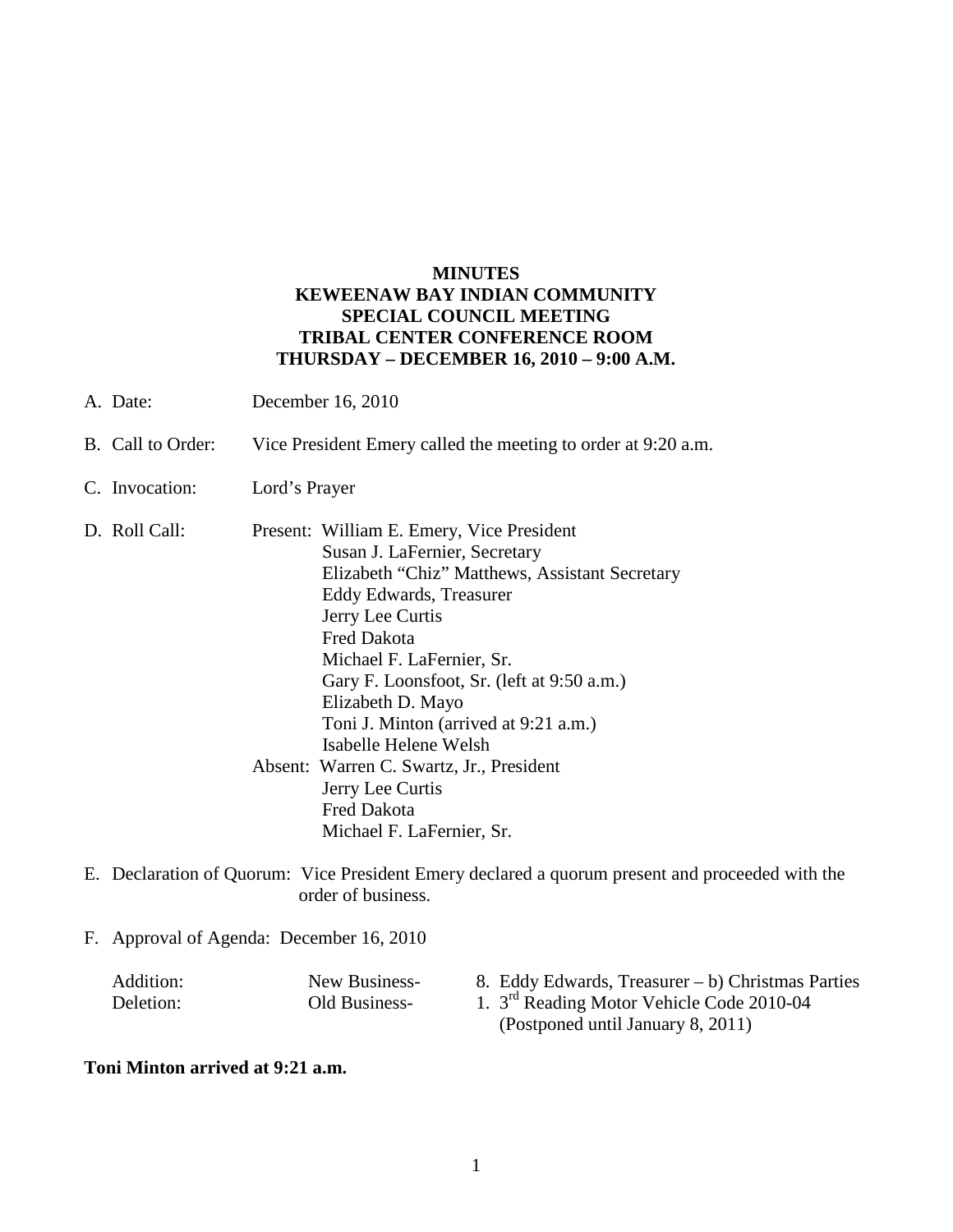## **MINUTES KEWEENAW BAY INDIAN COMMUNITY SPECIAL COUNCIL MEETING TRIBAL CENTER CONFERENCE ROOM THURSDAY – DECEMBER 16, 2010 – 9:00 A.M.**

- A. Date: December 16, 2010
- B. Call to Order: Vice President Emery called the meeting to order at 9:20 a.m.
- C. Invocation: Lord's Prayer
- D. Roll Call: Present: William E. Emery, Vice President Susan J. LaFernier, Secretary Elizabeth "Chiz" Matthews, Assistant Secretary Eddy Edwards, Treasurer Jerry Lee Curtis Fred Dakota Michael F. LaFernier, Sr. Gary F. Loonsfoot, Sr. (left at 9:50 a.m.) Elizabeth D. Mayo Toni J. Minton (arrived at 9:21 a.m.) Isabelle Helene Welsh Absent: Warren C. Swartz, Jr., President Jerry Lee Curtis Fred Dakota Michael F. LaFernier, Sr.
- E. Declaration of Quorum: Vice President Emery declared a quorum present and proceeded with the order of business.
- F. Approval of Agenda: December 16, 2010

| Addition: | New Business- | 8. Eddy Edwards, Treasurer – b) Christmas Parties     |
|-----------|---------------|-------------------------------------------------------|
| Deletion: | Old Business- | 1. 3 <sup>rd</sup> Reading Motor Vehicle Code 2010-04 |
|           |               | (Postponed until January 8, 2011)                     |

## **Toni Minton arrived at 9:21 a.m.**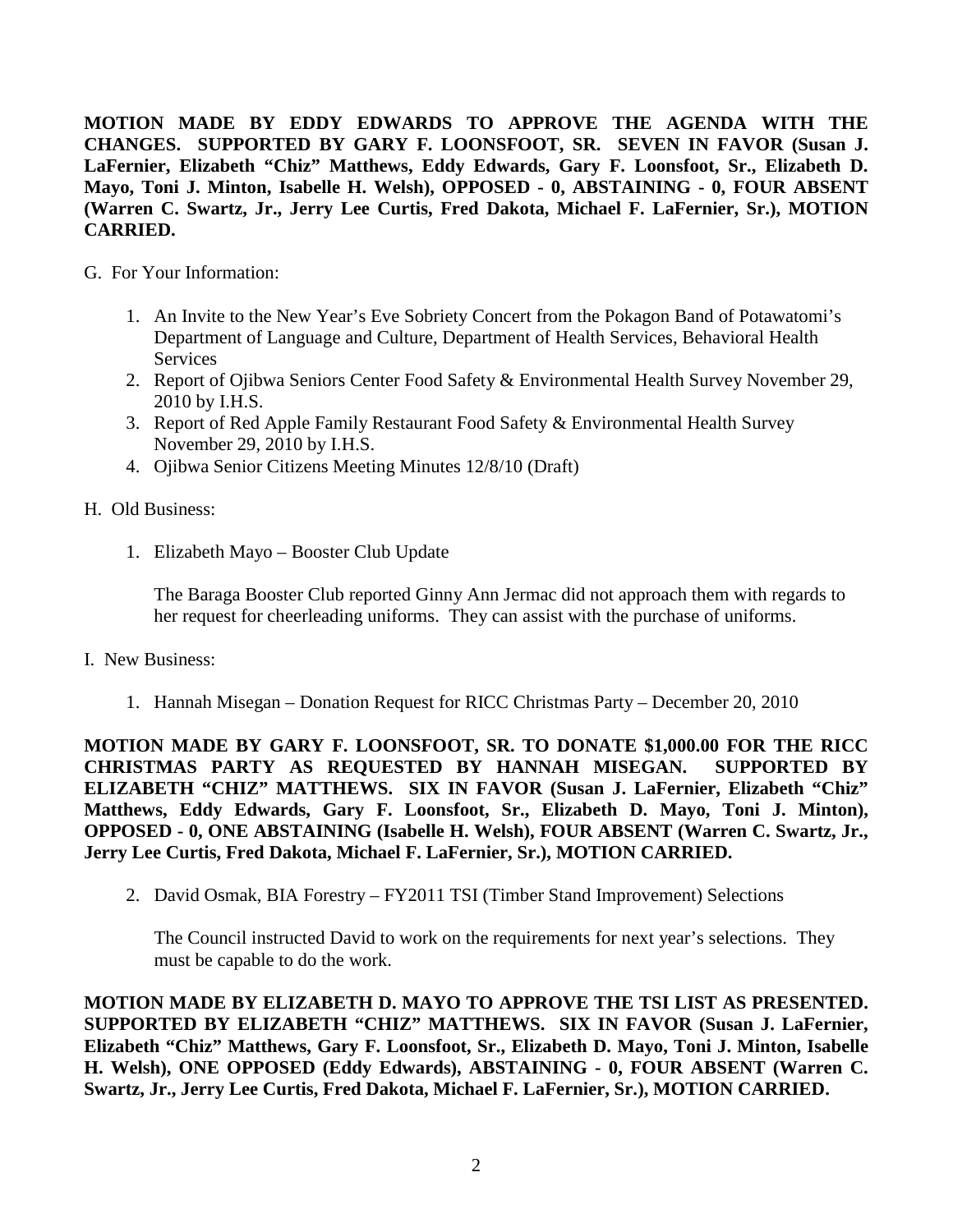**MOTION MADE BY EDDY EDWARDS TO APPROVE THE AGENDA WITH THE CHANGES. SUPPORTED BY GARY F. LOONSFOOT, SR. SEVEN IN FAVOR (Susan J. LaFernier, Elizabeth "Chiz" Matthews, Eddy Edwards, Gary F. Loonsfoot, Sr., Elizabeth D. Mayo, Toni J. Minton, Isabelle H. Welsh), OPPOSED - 0, ABSTAINING - 0, FOUR ABSENT (Warren C. Swartz, Jr., Jerry Lee Curtis, Fred Dakota, Michael F. LaFernier, Sr.), MOTION CARRIED.**

- G. For Your Information:
	- 1. An Invite to the New Year's Eve Sobriety Concert from the Pokagon Band of Potawatomi's Department of Language and Culture, Department of Health Services, Behavioral Health Services
	- 2. Report of Ojibwa Seniors Center Food Safety & Environmental Health Survey November 29, 2010 by I.H.S.
	- 3. Report of Red Apple Family Restaurant Food Safety & Environmental Health Survey November 29, 2010 by I.H.S.
	- 4. Ojibwa Senior Citizens Meeting Minutes 12/8/10 (Draft)
- H. Old Business:
	- 1. Elizabeth Mayo Booster Club Update

The Baraga Booster Club reported Ginny Ann Jermac did not approach them with regards to her request for cheerleading uniforms. They can assist with the purchase of uniforms.

- I. New Business:
	- 1. Hannah Misegan Donation Request for RICC Christmas Party December 20, 2010

**MOTION MADE BY GARY F. LOONSFOOT, SR. TO DONATE \$1,000.00 FOR THE RICC CHRISTMAS PARTY AS REQUESTED BY HANNAH MISEGAN. SUPPORTED BY ELIZABETH "CHIZ" MATTHEWS. SIX IN FAVOR (Susan J. LaFernier, Elizabeth "Chiz" Matthews, Eddy Edwards, Gary F. Loonsfoot, Sr., Elizabeth D. Mayo, Toni J. Minton), OPPOSED - 0, ONE ABSTAINING (Isabelle H. Welsh), FOUR ABSENT (Warren C. Swartz, Jr., Jerry Lee Curtis, Fred Dakota, Michael F. LaFernier, Sr.), MOTION CARRIED.**

2. David Osmak, BIA Forestry – FY2011 TSI (Timber Stand Improvement) Selections

The Council instructed David to work on the requirements for next year's selections. They must be capable to do the work.

**MOTION MADE BY ELIZABETH D. MAYO TO APPROVE THE TSI LIST AS PRESENTED. SUPPORTED BY ELIZABETH "CHIZ" MATTHEWS. SIX IN FAVOR (Susan J. LaFernier, Elizabeth "Chiz" Matthews, Gary F. Loonsfoot, Sr., Elizabeth D. Mayo, Toni J. Minton, Isabelle H. Welsh), ONE OPPOSED (Eddy Edwards), ABSTAINING - 0, FOUR ABSENT (Warren C. Swartz, Jr., Jerry Lee Curtis, Fred Dakota, Michael F. LaFernier, Sr.), MOTION CARRIED.**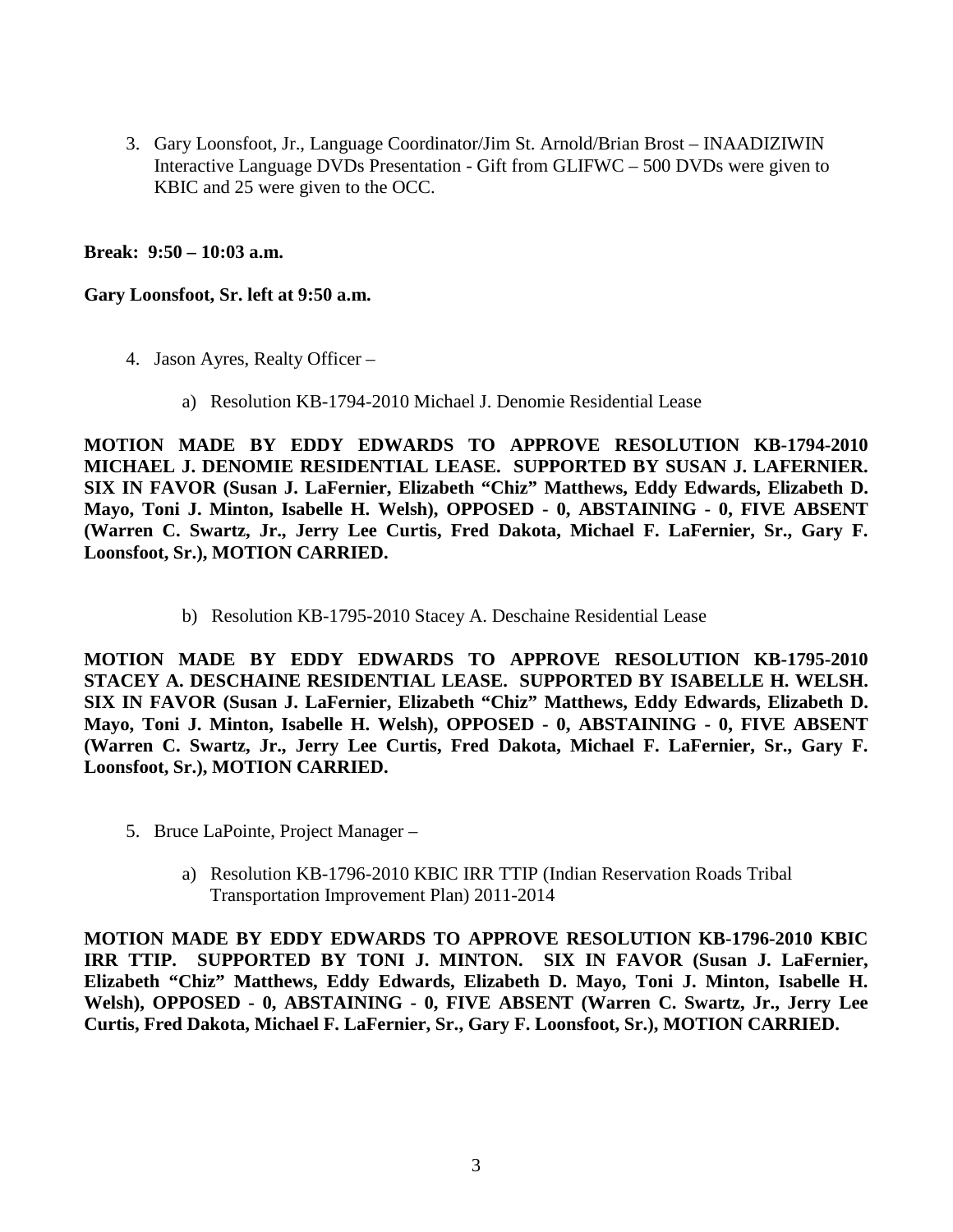3. Gary Loonsfoot, Jr., Language Coordinator/Jim St. Arnold/Brian Brost – INAADIZIWIN Interactive Language DVDs Presentation - Gift from GLIFWC – 500 DVDs were given to KBIC and 25 were given to the OCC.

**Break: 9:50 – 10:03 a.m.** 

**Gary Loonsfoot, Sr. left at 9:50 a.m.** 

- 4. Jason Ayres, Realty Officer
	- a) Resolution KB-1794-2010 Michael J. Denomie Residential Lease

**MOTION MADE BY EDDY EDWARDS TO APPROVE RESOLUTION KB-1794-2010 MICHAEL J. DENOMIE RESIDENTIAL LEASE. SUPPORTED BY SUSAN J. LAFERNIER. SIX IN FAVOR (Susan J. LaFernier, Elizabeth "Chiz" Matthews, Eddy Edwards, Elizabeth D. Mayo, Toni J. Minton, Isabelle H. Welsh), OPPOSED - 0, ABSTAINING - 0, FIVE ABSENT (Warren C. Swartz, Jr., Jerry Lee Curtis, Fred Dakota, Michael F. LaFernier, Sr., Gary F. Loonsfoot, Sr.), MOTION CARRIED.** 

b) Resolution KB-1795-2010 Stacey A. Deschaine Residential Lease

**MOTION MADE BY EDDY EDWARDS TO APPROVE RESOLUTION KB-1795-2010 STACEY A. DESCHAINE RESIDENTIAL LEASE. SUPPORTED BY ISABELLE H. WELSH. SIX IN FAVOR (Susan J. LaFernier, Elizabeth "Chiz" Matthews, Eddy Edwards, Elizabeth D. Mayo, Toni J. Minton, Isabelle H. Welsh), OPPOSED - 0, ABSTAINING - 0, FIVE ABSENT (Warren C. Swartz, Jr., Jerry Lee Curtis, Fred Dakota, Michael F. LaFernier, Sr., Gary F. Loonsfoot, Sr.), MOTION CARRIED.** 

- 5. Bruce LaPointe, Project Manager
	- a) Resolution KB-1796-2010 KBIC IRR TTIP (Indian Reservation Roads Tribal Transportation Improvement Plan) 2011-2014

**MOTION MADE BY EDDY EDWARDS TO APPROVE RESOLUTION KB-1796-2010 KBIC IRR TTIP. SUPPORTED BY TONI J. MINTON. SIX IN FAVOR (Susan J. LaFernier, Elizabeth "Chiz" Matthews, Eddy Edwards, Elizabeth D. Mayo, Toni J. Minton, Isabelle H. Welsh), OPPOSED - 0, ABSTAINING - 0, FIVE ABSENT (Warren C. Swartz, Jr., Jerry Lee Curtis, Fred Dakota, Michael F. LaFernier, Sr., Gary F. Loonsfoot, Sr.), MOTION CARRIED.**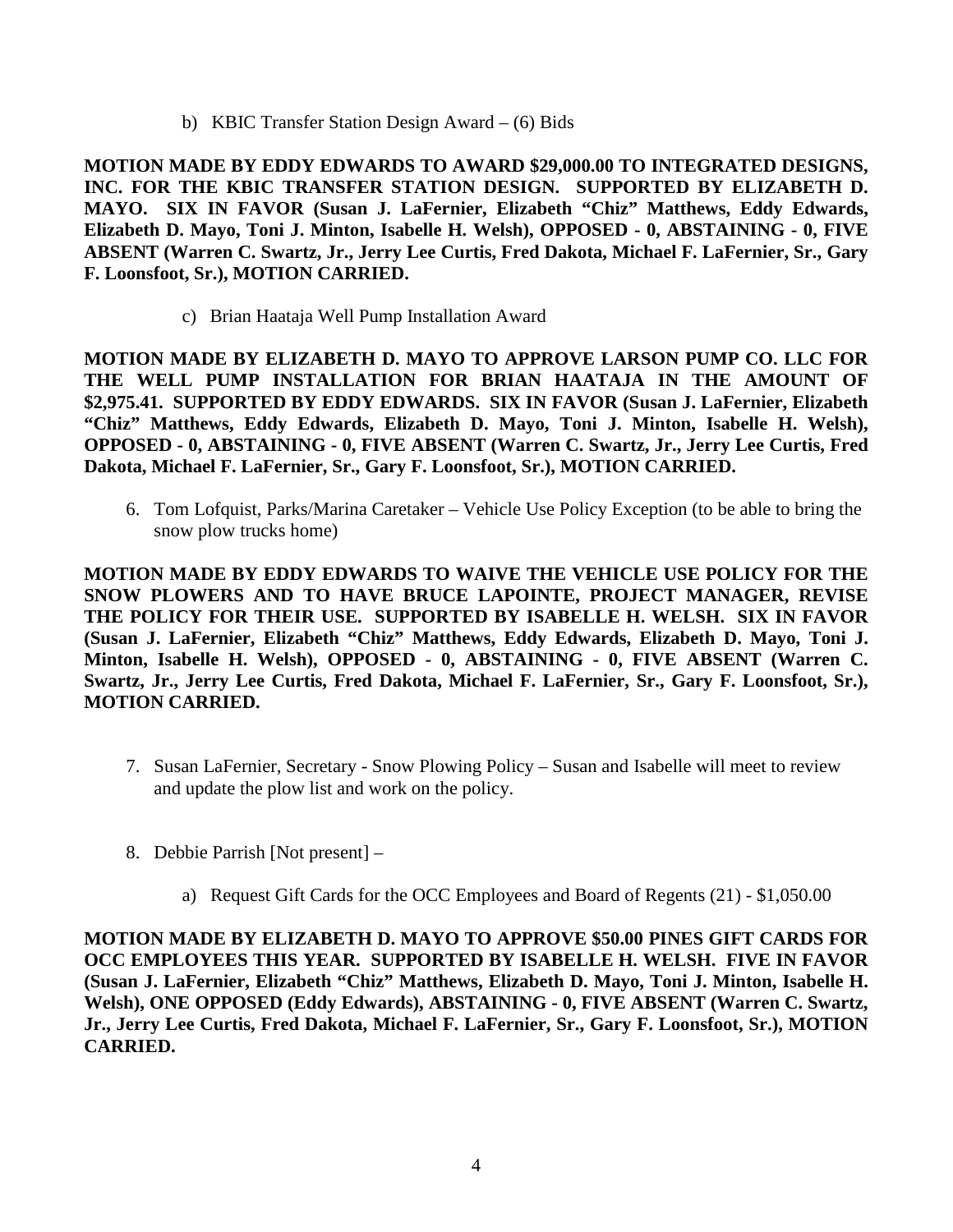b) KBIC Transfer Station Design Award – (6) Bids

**MOTION MADE BY EDDY EDWARDS TO AWARD \$29,000.00 TO INTEGRATED DESIGNS, INC. FOR THE KBIC TRANSFER STATION DESIGN. SUPPORTED BY ELIZABETH D. MAYO. SIX IN FAVOR (Susan J. LaFernier, Elizabeth "Chiz" Matthews, Eddy Edwards, Elizabeth D. Mayo, Toni J. Minton, Isabelle H. Welsh), OPPOSED - 0, ABSTAINING - 0, FIVE ABSENT (Warren C. Swartz, Jr., Jerry Lee Curtis, Fred Dakota, Michael F. LaFernier, Sr., Gary F. Loonsfoot, Sr.), MOTION CARRIED.** 

c) Brian Haataja Well Pump Installation Award

**MOTION MADE BY ELIZABETH D. MAYO TO APPROVE LARSON PUMP CO. LLC FOR THE WELL PUMP INSTALLATION FOR BRIAN HAATAJA IN THE AMOUNT OF \$2,975.41. SUPPORTED BY EDDY EDWARDS. SIX IN FAVOR (Susan J. LaFernier, Elizabeth "Chiz" Matthews, Eddy Edwards, Elizabeth D. Mayo, Toni J. Minton, Isabelle H. Welsh), OPPOSED - 0, ABSTAINING - 0, FIVE ABSENT (Warren C. Swartz, Jr., Jerry Lee Curtis, Fred Dakota, Michael F. LaFernier, Sr., Gary F. Loonsfoot, Sr.), MOTION CARRIED.** 

6. Tom Lofquist, Parks/Marina Caretaker – Vehicle Use Policy Exception (to be able to bring the snow plow trucks home)

**MOTION MADE BY EDDY EDWARDS TO WAIVE THE VEHICLE USE POLICY FOR THE SNOW PLOWERS AND TO HAVE BRUCE LAPOINTE, PROJECT MANAGER, REVISE THE POLICY FOR THEIR USE. SUPPORTED BY ISABELLE H. WELSH. SIX IN FAVOR (Susan J. LaFernier, Elizabeth "Chiz" Matthews, Eddy Edwards, Elizabeth D. Mayo, Toni J. Minton, Isabelle H. Welsh), OPPOSED - 0, ABSTAINING - 0, FIVE ABSENT (Warren C. Swartz, Jr., Jerry Lee Curtis, Fred Dakota, Michael F. LaFernier, Sr., Gary F. Loonsfoot, Sr.), MOTION CARRIED.**

- 7. Susan LaFernier, Secretary Snow Plowing Policy Susan and Isabelle will meet to review and update the plow list and work on the policy.
- 8. Debbie Parrish [Not present]
	- a) Request Gift Cards for the OCC Employees and Board of Regents (21) \$1,050.00

**MOTION MADE BY ELIZABETH D. MAYO TO APPROVE \$50.00 PINES GIFT CARDS FOR OCC EMPLOYEES THIS YEAR. SUPPORTED BY ISABELLE H. WELSH. FIVE IN FAVOR (Susan J. LaFernier, Elizabeth "Chiz" Matthews, Elizabeth D. Mayo, Toni J. Minton, Isabelle H. Welsh), ONE OPPOSED (Eddy Edwards), ABSTAINING - 0, FIVE ABSENT (Warren C. Swartz, Jr., Jerry Lee Curtis, Fred Dakota, Michael F. LaFernier, Sr., Gary F. Loonsfoot, Sr.), MOTION CARRIED.**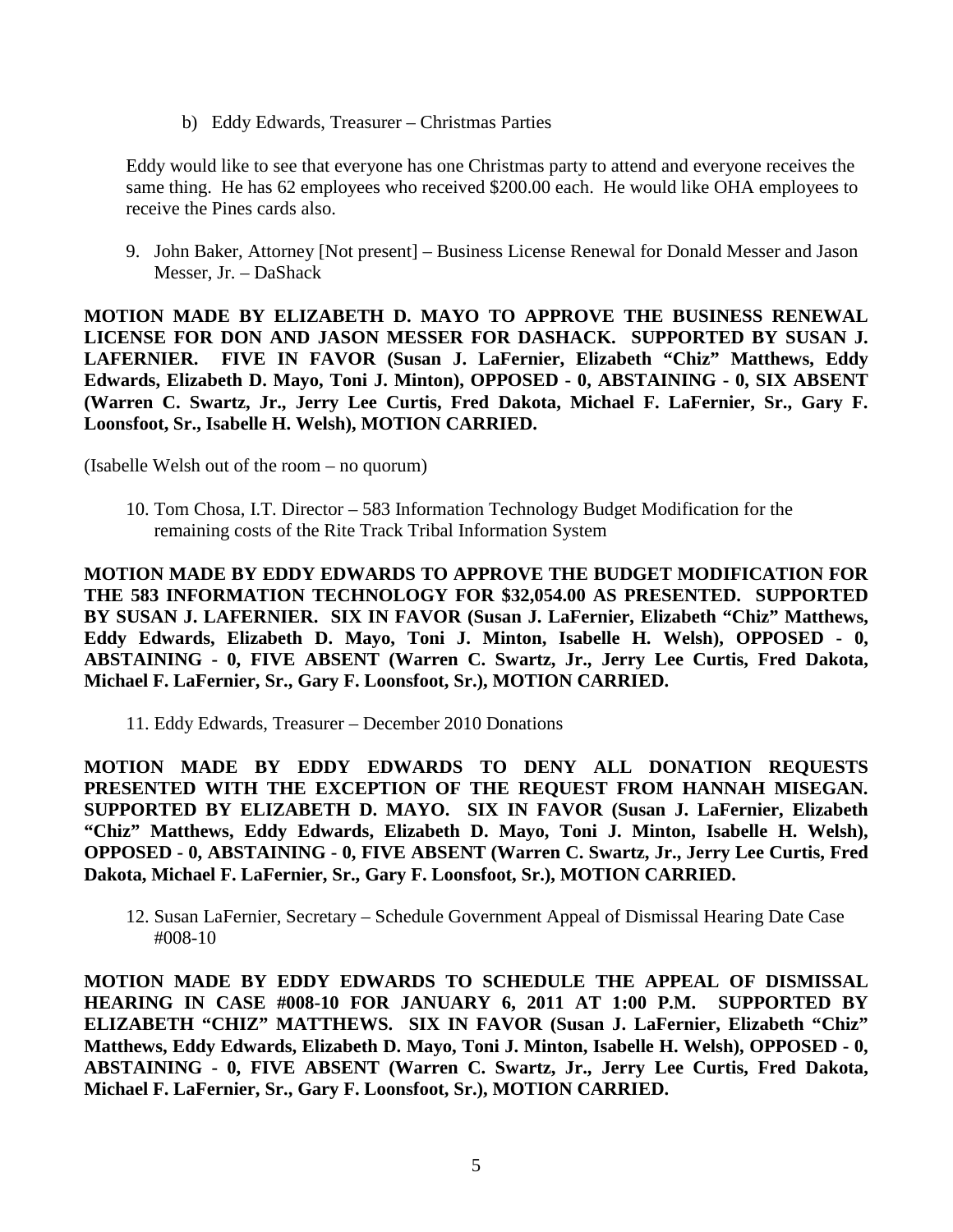b) Eddy Edwards, Treasurer – Christmas Parties

Eddy would like to see that everyone has one Christmas party to attend and everyone receives the same thing. He has 62 employees who received \$200.00 each. He would like OHA employees to receive the Pines cards also.

9. John Baker, Attorney [Not present] – Business License Renewal for Donald Messer and Jason Messer, Jr. – DaShack

**MOTION MADE BY ELIZABETH D. MAYO TO APPROVE THE BUSINESS RENEWAL LICENSE FOR DON AND JASON MESSER FOR DASHACK. SUPPORTED BY SUSAN J. LAFERNIER. FIVE IN FAVOR (Susan J. LaFernier, Elizabeth "Chiz" Matthews, Eddy Edwards, Elizabeth D. Mayo, Toni J. Minton), OPPOSED - 0, ABSTAINING - 0, SIX ABSENT (Warren C. Swartz, Jr., Jerry Lee Curtis, Fred Dakota, Michael F. LaFernier, Sr., Gary F. Loonsfoot, Sr., Isabelle H. Welsh), MOTION CARRIED.** 

(Isabelle Welsh out of the room – no quorum)

10. Tom Chosa, I.T. Director – 583 Information Technology Budget Modification for the remaining costs of the Rite Track Tribal Information System

**MOTION MADE BY EDDY EDWARDS TO APPROVE THE BUDGET MODIFICATION FOR THE 583 INFORMATION TECHNOLOGY FOR \$32,054.00 AS PRESENTED. SUPPORTED BY SUSAN J. LAFERNIER. SIX IN FAVOR (Susan J. LaFernier, Elizabeth "Chiz" Matthews, Eddy Edwards, Elizabeth D. Mayo, Toni J. Minton, Isabelle H. Welsh), OPPOSED - 0, ABSTAINING - 0, FIVE ABSENT (Warren C. Swartz, Jr., Jerry Lee Curtis, Fred Dakota, Michael F. LaFernier, Sr., Gary F. Loonsfoot, Sr.), MOTION CARRIED.** 

11. Eddy Edwards, Treasurer – December 2010 Donations

**MOTION MADE BY EDDY EDWARDS TO DENY ALL DONATION REQUESTS PRESENTED WITH THE EXCEPTION OF THE REQUEST FROM HANNAH MISEGAN. SUPPORTED BY ELIZABETH D. MAYO. SIX IN FAVOR (Susan J. LaFernier, Elizabeth "Chiz" Matthews, Eddy Edwards, Elizabeth D. Mayo, Toni J. Minton, Isabelle H. Welsh), OPPOSED - 0, ABSTAINING - 0, FIVE ABSENT (Warren C. Swartz, Jr., Jerry Lee Curtis, Fred Dakota, Michael F. LaFernier, Sr., Gary F. Loonsfoot, Sr.), MOTION CARRIED.** 

12. Susan LaFernier, Secretary – Schedule Government Appeal of Dismissal Hearing Date Case #008-10

**MOTION MADE BY EDDY EDWARDS TO SCHEDULE THE APPEAL OF DISMISSAL HEARING IN CASE #008-10 FOR JANUARY 6, 2011 AT 1:00 P.M. SUPPORTED BY ELIZABETH "CHIZ" MATTHEWS. SIX IN FAVOR (Susan J. LaFernier, Elizabeth "Chiz" Matthews, Eddy Edwards, Elizabeth D. Mayo, Toni J. Minton, Isabelle H. Welsh), OPPOSED - 0, ABSTAINING - 0, FIVE ABSENT (Warren C. Swartz, Jr., Jerry Lee Curtis, Fred Dakota, Michael F. LaFernier, Sr., Gary F. Loonsfoot, Sr.), MOTION CARRIED.**